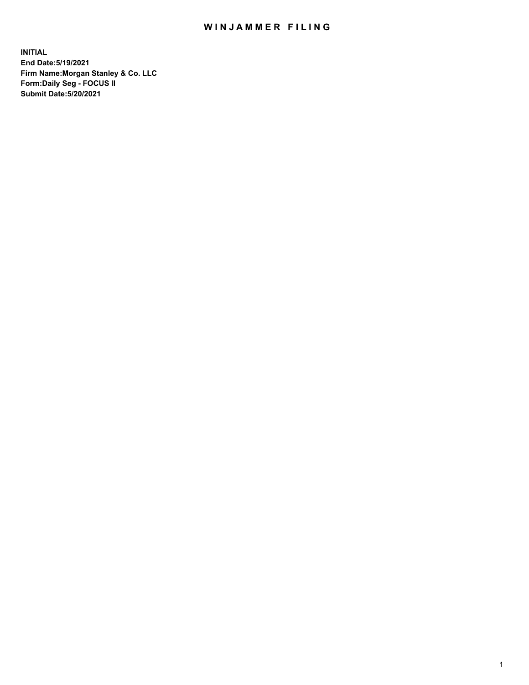## WIN JAMMER FILING

**INITIAL End Date:5/19/2021 Firm Name:Morgan Stanley & Co. LLC Form:Daily Seg - FOCUS II Submit Date:5/20/2021**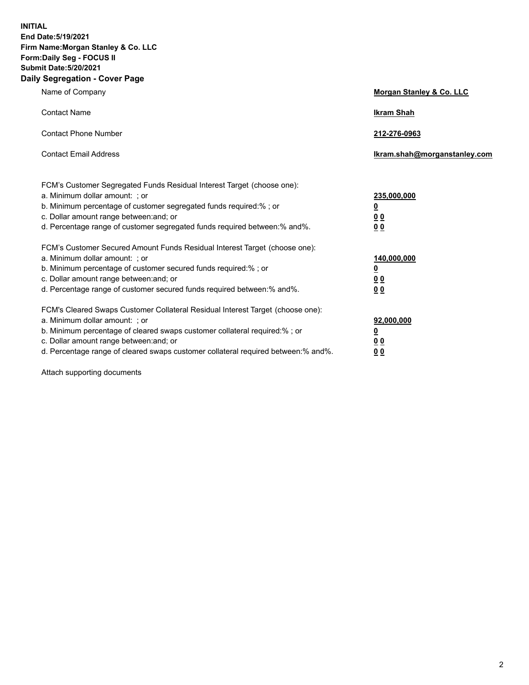**INITIAL End Date:5/19/2021 Firm Name:Morgan Stanley & Co. LLC Form:Daily Seg - FOCUS II Submit Date:5/20/2021 Daily Segregation - Cover Page**

| Name of Company                                                                                                                                                                                                                                                                                                                | Morgan Stanley & Co. LLC                                    |
|--------------------------------------------------------------------------------------------------------------------------------------------------------------------------------------------------------------------------------------------------------------------------------------------------------------------------------|-------------------------------------------------------------|
| <b>Contact Name</b>                                                                                                                                                                                                                                                                                                            | <b>Ikram Shah</b>                                           |
| <b>Contact Phone Number</b>                                                                                                                                                                                                                                                                                                    | 212-276-0963                                                |
| <b>Contact Email Address</b>                                                                                                                                                                                                                                                                                                   | Ikram.shah@morganstanley.com                                |
| FCM's Customer Segregated Funds Residual Interest Target (choose one):<br>a. Minimum dollar amount: ; or<br>b. Minimum percentage of customer segregated funds required:% ; or<br>c. Dollar amount range between: and; or<br>d. Percentage range of customer segregated funds required between: % and %.                       | 235,000,000<br><u>0</u><br>00<br>0 <sub>0</sub>             |
| FCM's Customer Secured Amount Funds Residual Interest Target (choose one):<br>a. Minimum dollar amount: ; or<br>b. Minimum percentage of customer secured funds required:%; or<br>c. Dollar amount range between: and; or<br>d. Percentage range of customer secured funds required between:% and%.                            | 140,000,000<br><u>0</u><br>0 <sub>0</sub><br>0 <sub>0</sub> |
| FCM's Cleared Swaps Customer Collateral Residual Interest Target (choose one):<br>a. Minimum dollar amount: ; or<br>b. Minimum percentage of cleared swaps customer collateral required:% ; or<br>c. Dollar amount range between: and; or<br>d. Percentage range of cleared swaps customer collateral required between:% and%. | 92,000,000<br><u>0</u><br>0 Q<br>0 <sub>0</sub>             |

Attach supporting documents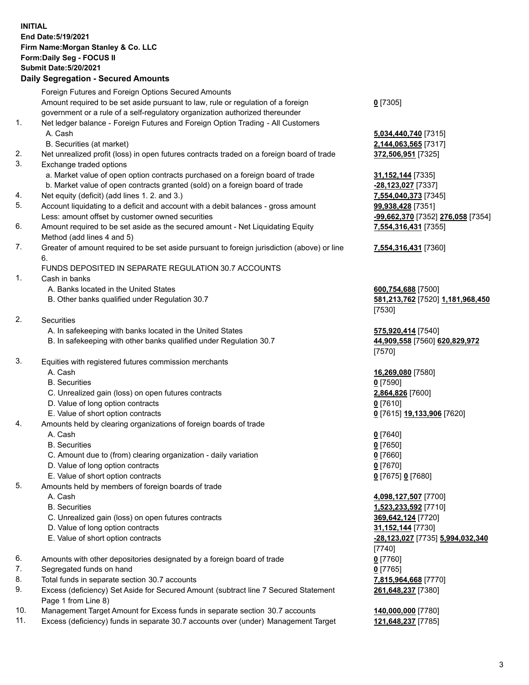## **INITIAL End Date:5/19/2021 Firm Name:Morgan Stanley & Co. LLC Form:Daily Seg - FOCUS II Submit Date:5/20/2021**

## **Daily Segregation - Secured Amounts**

Foreign Futures and Foreign Options Secured Amounts Amount required to be set aside pursuant to law, rule or regulation of a foreign government or a rule of a self-regulatory organization authorized thereunder 1. Net ledger balance - Foreign Futures and Foreign Option Trading - All Customers A. Cash **5,034,440,740** [7315] B. Securities (at market) **2,144,063,565** [7317] 2. Net unrealized profit (loss) in open futures contracts traded on a foreign board of trade **372,506,951** [7325] 3. Exchange traded options a. Market value of open option contracts purchased on a foreign board of trade **31,152,144** [7335] b. Market value of open contracts granted (sold) on a foreign board of trade **-28,123,027** [7337] 4. Net equity (deficit) (add lines 1. 2. and 3.) **7,554,040,373** [7345] 5. Account liquidating to a deficit and account with a debit balances - gross amount **99,938,428** [7351] Less: amount offset by customer owned securities **-99,662,370** [7352] **276,058** [7354] 6. Amount required to be set aside as the secured amount - Net Liquidating Equity Method (add lines 4 and 5) 7. Greater of amount required to be set aside pursuant to foreign jurisdiction (above) or line 6. FUNDS DEPOSITED IN SEPARATE REGULATION 30.7 ACCOUNTS 1. Cash in banks A. Banks located in the United States **600,754,688** [7500] B. Other banks qualified under Regulation 30.7 **581,213,762** [7520] **1,181,968,450** 2. Securities A. In safekeeping with banks located in the United States **575,920,414** [7540] B. In safekeeping with other banks qualified under Regulation 30.7 **44,909,558** [7560] **620,829,972** 3. Equities with registered futures commission merchants A. Cash **16,269,080** [7580] B. Securities **0** [7590] C. Unrealized gain (loss) on open futures contracts **2,864,826** [7600] D. Value of long option contracts **0** [7610] E. Value of short option contracts **0** [7615] **19,133,906** [7620] 4. Amounts held by clearing organizations of foreign boards of trade A. Cash **0** [7640] B. Securities **0** [7650] C. Amount due to (from) clearing organization - daily variation **0** [7660] D. Value of long option contracts **0** [7670] E. Value of short option contracts **0** [7675] **0** [7680] 5. Amounts held by members of foreign boards of trade A. Cash **4,098,127,507** [7700] B. Securities **1,523,233,592** [7710] C. Unrealized gain (loss) on open futures contracts **369,642,124** [7720] D. Value of long option contracts **31,152,144** [7730] E. Value of short option contracts **-28,123,027** [7735] **5,994,032,340** 6. Amounts with other depositories designated by a foreign board of trade **0** [7760] 7. Segregated funds on hand **0** [7765] 8. Total funds in separate section 30.7 accounts **7,815,964,668** [7770] 9. Excess (deficiency) Set Aside for Secured Amount (subtract line 7 Secured Statement

- Page 1 from Line 8)
- 10. Management Target Amount for Excess funds in separate section 30.7 accounts **140,000,000** [7780]

11. Excess (deficiency) funds in separate 30.7 accounts over (under) Management Target **121,648,237** [7785]

**0** [7305]

**7,554,316,431** [7355]

## **7,554,316,431** [7360]

[7530]

[7570]

[7740] **261,648,237** [7380]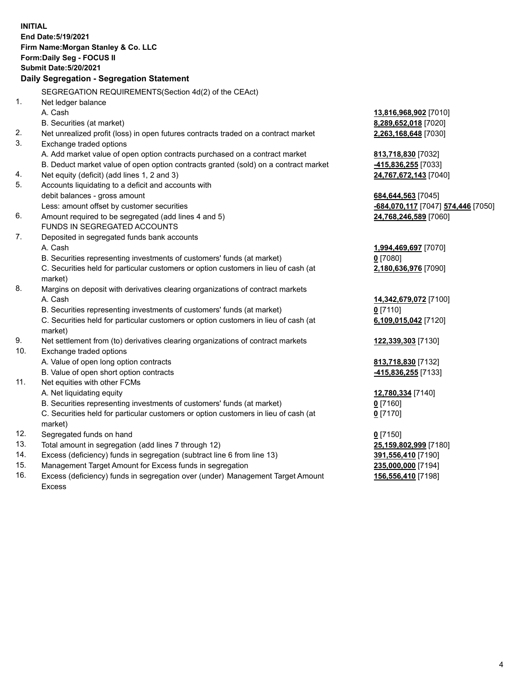**INITIAL End Date:5/19/2021 Firm Name:Morgan Stanley & Co. LLC Form:Daily Seg - FOCUS II Submit Date:5/20/2021 Daily Segregation - Segregation Statement** SEGREGATION REQUIREMENTS(Section 4d(2) of the CEAct) 1. Net ledger balance A. Cash **13,816,968,902** [7010] B. Securities (at market) **8,289,652,018** [7020] 2. Net unrealized profit (loss) in open futures contracts traded on a contract market **2,263,168,648** [7030] 3. Exchange traded options A. Add market value of open option contracts purchased on a contract market **813,718,830** [7032] B. Deduct market value of open option contracts granted (sold) on a contract market **-415,836,255** [7033] 4. Net equity (deficit) (add lines 1, 2 and 3) **24,767,672,143** [7040] 5. Accounts liquidating to a deficit and accounts with debit balances - gross amount **684,644,563** [7045] Less: amount offset by customer securities **-684,070,117** [7047] **574,446** [7050] 6. Amount required to be segregated (add lines 4 and 5) **24,768,246,589** [7060] FUNDS IN SEGREGATED ACCOUNTS 7. Deposited in segregated funds bank accounts A. Cash **1,994,469,697** [7070] B. Securities representing investments of customers' funds (at market) **0** [7080] C. Securities held for particular customers or option customers in lieu of cash (at market) **2,180,636,976** [7090] 8. Margins on deposit with derivatives clearing organizations of contract markets A. Cash **14,342,679,072** [7100] B. Securities representing investments of customers' funds (at market) **0** [7110] C. Securities held for particular customers or option customers in lieu of cash (at market) **6,109,015,042** [7120] 9. Net settlement from (to) derivatives clearing organizations of contract markets **122,339,303** [7130] 10. Exchange traded options A. Value of open long option contracts **813,718,830** [7132] B. Value of open short option contracts **-415,836,255** [7133] 11. Net equities with other FCMs A. Net liquidating equity **12,780,334** [7140] B. Securities representing investments of customers' funds (at market) **0** [7160] C. Securities held for particular customers or option customers in lieu of cash (at market) **0** [7170] 12. Segregated funds on hand **0** [7150] 13. Total amount in segregation (add lines 7 through 12) **25,159,802,999** [7180] 14. Excess (deficiency) funds in segregation (subtract line 6 from line 13) **391,556,410** [7190] 15. Management Target Amount for Excess funds in segregation **235,000,000** [7194] **156,556,410** [7198]

16. Excess (deficiency) funds in segregation over (under) Management Target Amount Excess